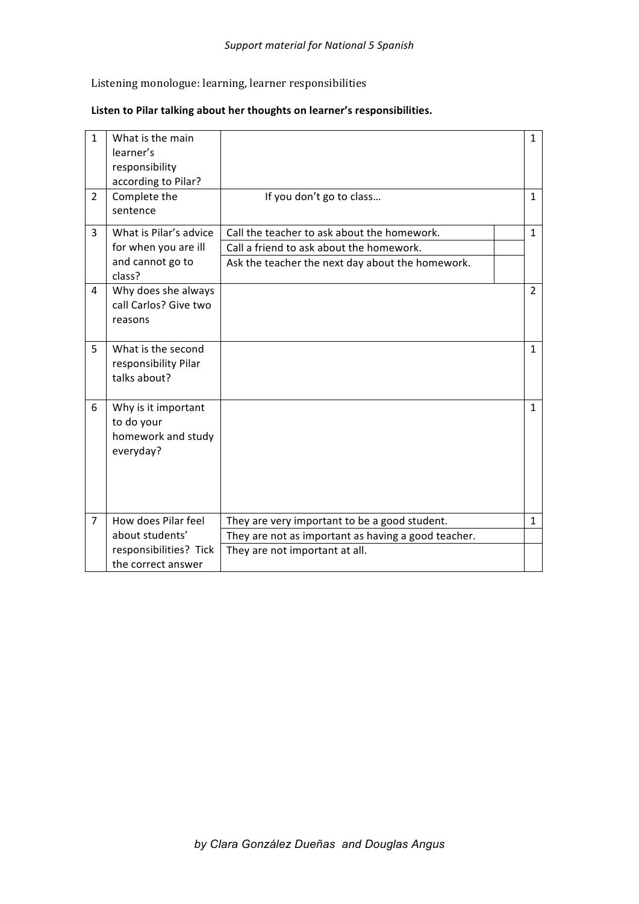## Listening monologue: learning, learner responsibilities

## Listen to Pilar talking about her thoughts on learner's responsibilities.

| $\mathbf{1}$   | What is the main<br>learner's<br>responsibility<br>according to Pilar?       |                                                                                                                                             | $\mathbf{1}$   |
|----------------|------------------------------------------------------------------------------|---------------------------------------------------------------------------------------------------------------------------------------------|----------------|
| $\overline{2}$ | Complete the<br>sentence                                                     | If you don't go to class                                                                                                                    | $\mathbf{1}$   |
| 3              | What is Pilar's advice<br>for when you are ill<br>and cannot go to<br>class? | Call the teacher to ask about the homework.<br>Call a friend to ask about the homework.<br>Ask the teacher the next day about the homework. | $\mathbf{1}$   |
| 4              | Why does she always<br>call Carlos? Give two<br>reasons                      |                                                                                                                                             | $\overline{2}$ |
| 5              | What is the second<br>responsibility Pilar<br>talks about?                   |                                                                                                                                             | $\mathbf{1}$   |
| 6              | Why is it important<br>to do your<br>homework and study<br>everyday?         |                                                                                                                                             | 1              |
| $\overline{7}$ | How does Pilar feel                                                          | They are very important to be a good student.                                                                                               | $\mathbf{1}$   |
|                | about students'                                                              | They are not as important as having a good teacher.                                                                                         |                |
|                | responsibilities? Tick<br>the correct answer                                 | They are not important at all.                                                                                                              |                |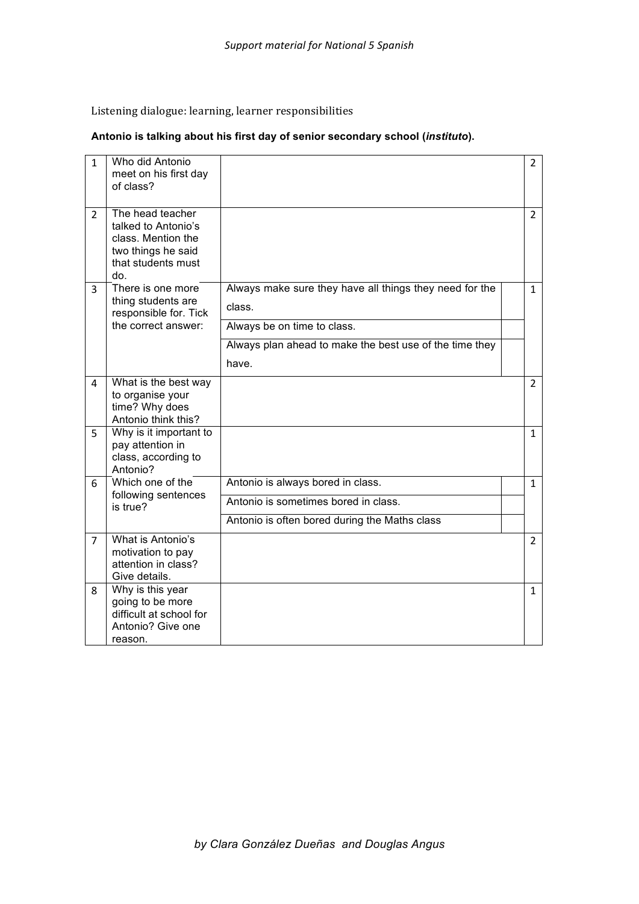Listening dialogue: learning, learner responsibilities

## **Antonio is talking about his first day of senior secondary school (***instituto***).**

| $\mathbf{1}$   | Who did Antonio<br>meet on his first day<br>of class?                                                            |                                                                                                                                                                      | $\overline{2}$ |
|----------------|------------------------------------------------------------------------------------------------------------------|----------------------------------------------------------------------------------------------------------------------------------------------------------------------|----------------|
| $\overline{2}$ | The head teacher<br>talked to Antonio's<br>class. Mention the<br>two things he said<br>that students must<br>do. |                                                                                                                                                                      | $\overline{2}$ |
| 3              | There is one more<br>thing students are<br>responsible for. Tick<br>the correct answer:                          | Always make sure they have all things they need for the<br>class.<br>Always be on time to class.<br>Always plan ahead to make the best use of the time they<br>have. | $\mathbf{1}$   |
| 4              | What is the best way<br>to organise your<br>time? Why does<br>Antonio think this?                                |                                                                                                                                                                      | $\overline{2}$ |
| 5.             | Why is it important to<br>pay attention in<br>class, according to<br>Antonio?                                    |                                                                                                                                                                      | $\mathbf{1}$   |
| 6.             | Which one of the                                                                                                 | Antonio is always bored in class.                                                                                                                                    | $\mathbf{1}$   |
|                | following sentences<br>is true?                                                                                  | Antonio is sometimes bored in class.                                                                                                                                 |                |
|                |                                                                                                                  | Antonio is often bored during the Maths class                                                                                                                        |                |
| 7              | What is Antonio's<br>motivation to pay<br>attention in class?<br>Give details.                                   |                                                                                                                                                                      | $\mathcal{P}$  |
| 8              | Why is this year<br>going to be more<br>difficult at school for<br>Antonio? Give one<br>reason.                  |                                                                                                                                                                      | $\mathbf{1}$   |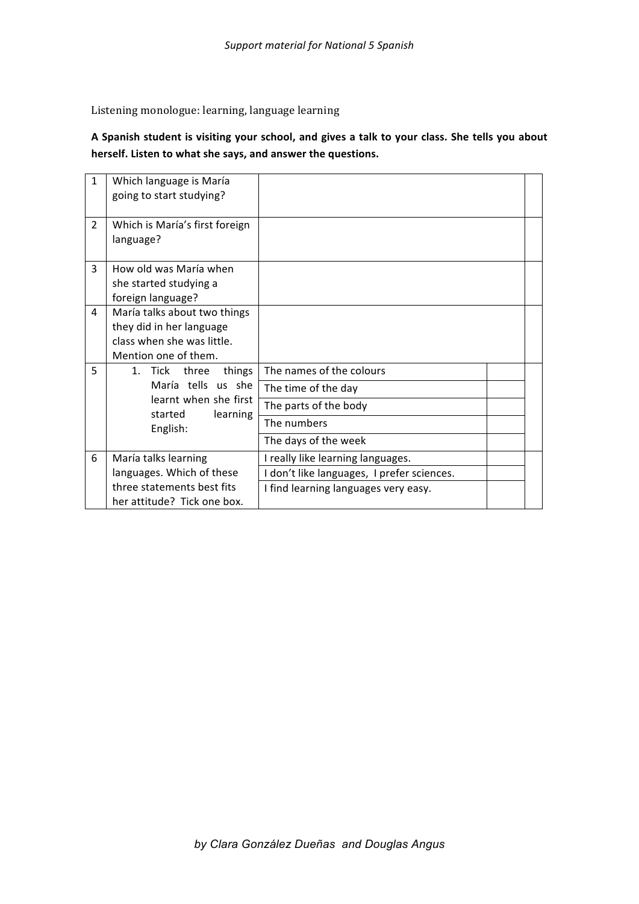Listening monologue: learning, language learning

A Spanish student is visiting your school, and gives a talk to your class. She tells you about herself. Listen to what she says, and answer the questions.

| $\mathbf{1}$   | Which language is María                      |                                            |  |  |
|----------------|----------------------------------------------|--------------------------------------------|--|--|
|                | going to start studying?                     |                                            |  |  |
|                |                                              |                                            |  |  |
| $\overline{2}$ | Which is María's first foreign               |                                            |  |  |
|                | language?                                    |                                            |  |  |
| 3              | How old was María when                       |                                            |  |  |
|                |                                              |                                            |  |  |
|                | she started studying a                       |                                            |  |  |
|                | foreign language?                            |                                            |  |  |
| 4              | María talks about two things                 |                                            |  |  |
|                | they did in her language                     |                                            |  |  |
|                | class when she was little.                   |                                            |  |  |
|                | Mention one of them.                         |                                            |  |  |
| 5              | 1. Tick<br>things<br>three                   | The names of the colours                   |  |  |
|                | María tells us she                           | The time of the day                        |  |  |
|                | learnt when she first<br>started<br>learning | The parts of the body                      |  |  |
|                | English:                                     | The numbers                                |  |  |
|                |                                              | The days of the week                       |  |  |
| 6              | María talks learning                         | I really like learning languages.          |  |  |
|                | languages. Which of these                    | I don't like languages, I prefer sciences. |  |  |
|                | three statements best fits                   | I find learning languages very easy.       |  |  |
|                | her attitude? Tick one box.                  |                                            |  |  |